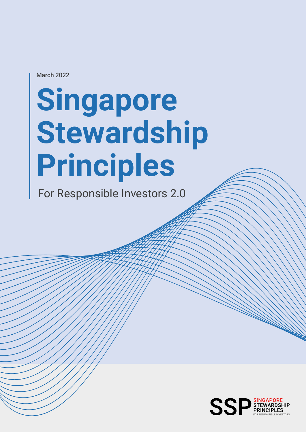March 2022

# **Singapore Stewardship Principles**

For Responsible Investors 2.0

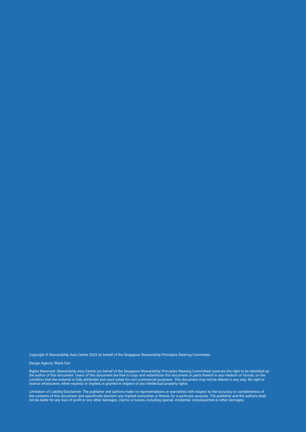Copyright © Stewardship Asia Centre 2022 on behalf of the Singapore Stewardship Principles Steering Committee

#### Design Agency: Black Sun

Rights Reserved: Stewardship Asia Centre (on behalf of the Singapore Stewardship Principles Steering Committee) reserves the right to be identified as the author of this document. Users of this document are free to copy and redistribute this document or parts thereof in any medium or format, on the condition that the material is fully attributed and used solely for non-commercial purposes. This document may not be altered in any way. No right or licence whatsoever, either express or implied, is granted in respect of any intellectual property rights.

Limitation of Liability/Disclaimer: The publisher and authors make no representations or warranties with respect to the accuracy or completeness of the contents of this document and specifically disclaim any implied warranties or fitness for a particular purpose. The publisher and the authors shall not be liable for any loss of profit or any other damages, claims or losses, including special, incidental, consequential or other damages.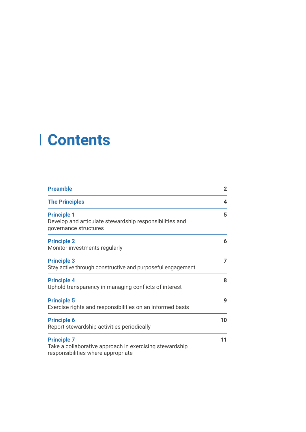## **Contents**

| <b>Preamble</b>                                                                                                     | $\mathbf{2}$ |
|---------------------------------------------------------------------------------------------------------------------|--------------|
| <b>The Principles</b>                                                                                               | 4            |
| <b>Principle 1</b><br>Develop and articulate stewardship responsibilities and<br>governance structures              | 5            |
| <b>Principle 2</b><br>Monitor investments regularly                                                                 | 6            |
| <b>Principle 3</b><br>Stay active through constructive and purposeful engagement                                    | 7            |
| <b>Principle 4</b><br>Uphold transparency in managing conflicts of interest                                         | 8            |
| <b>Principle 5</b><br>Exercise rights and responsibilities on an informed basis                                     | 9            |
| <b>Principle 6</b><br>Report stewardship activities periodically                                                    | 10           |
| <b>Principle 7</b><br>Take a collaborative approach in exercising stewardship<br>responsibilities where appropriate | 11           |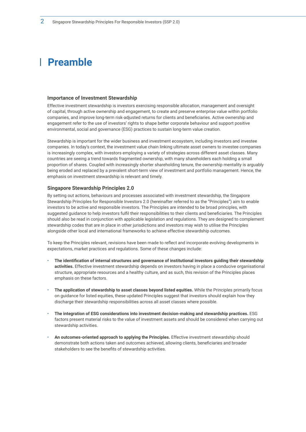### **Preamble**

#### **Importance of Investment Stewardship**

Effective investment stewardship is investors exercising responsible allocation, management and oversight of capital, through active ownership and engagement, to create and preserve enterprise value within portfolio companies, and improve long-term risk-adjusted returns for clients and beneficiaries. Active ownership and engagement refer to the use of investors' rights to shape better corporate behaviour and support positive environmental, social and governance (ESG) practices to sustain long-term value creation.

Stewardship is important for the wider business and investment ecosystem, including investors and investee companies. In today's context, the investment value chain linking ultimate asset owners to investee companies is increasingly complex, with investors employing a variety of strategies across different asset classes. Many countries are seeing a trend towards fragmented ownership, with many shareholders each holding a small proportion of shares. Coupled with increasingly shorter shareholding tenure, the ownership mentality is arguably being eroded and replaced by a prevalent short-term view of investment and portfolio management. Hence, the emphasis on investment stewardship is relevant and timely.

#### **Singapore Stewardship Principles 2.0**

By setting out actions, behaviours and processes associated with investment stewardship, the Singapore Stewardship Principles for Responsible Investors 2.0 (hereinafter referred to as the "Principles") aim to enable investors to be active and responsible investors. The Principles are intended to be broad principles, with suggested guidance to help investors fulfil their responsibilities to their clients and beneficiaries. The Principles should also be read in conjunction with applicable legislation and regulations. They are designed to complement stewardship codes that are in place in other jurisdictions and investors may wish to utilise the Principles alongside other local and international frameworks to achieve effective stewardship outcomes.

To keep the Principles relevant, revisions have been made to reflect and incorporate evolving developments in expectations, market practices and regulations. Some of these changes include:

- **The identification of internal structures and governance of institutional investors guiding their stewardship activities.** Effective investment stewardship depends on investors having in place a conducive organisational structure, appropriate resources and a healthy culture, and as such, this revision of the Principles places emphasis on these factors.
- **The application of stewardship to asset classes beyond listed equities.** While the Principles primarily focus on guidance for listed equities, these updated Principles suggest that investors should explain how they discharge their stewardship responsibilities across all asset classes where possible.
- **The integration of ESG considerations into investment decision-making and stewardship practices.** ESG factors present material risks to the value of investment assets and should be considered when carrying out stewardship activities.
- **An outcomes-oriented approach to applying the Principles.** Effective investment stewardship should demonstrate both actions taken and outcomes achieved, allowing clients, beneficiaries and broader stakeholders to see the benefits of stewardship activities.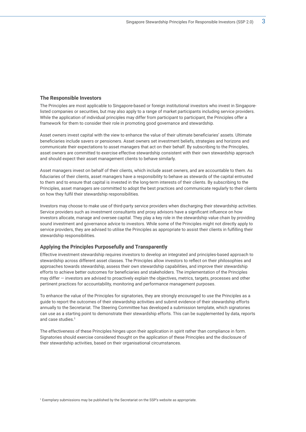#### **The Responsible Investors**

The Principles are most applicable to Singapore-based or foreign institutional investors who invest in Singaporelisted companies or securities, but may also apply to a range of market participants including service providers. While the application of individual principles may differ from participant to participant, the Principles offer a framework for them to consider their role in promoting good governance and stewardship.

Asset owners invest capital with the view to enhance the value of their ultimate beneficiaries' assets. Ultimate beneficiaries include savers or pensioners. Asset owners set investment beliefs, strategies and horizons and communicate their expectations to asset managers that act on their behalf. By subscribing to the Principles, asset owners are committed to exercise effective stewardship consistent with their own stewardship approach and should expect their asset management clients to behave similarly.

Asset managers invest on behalf of their clients, which include asset owners, and are accountable to them. As fiduciaries of their clients, asset managers have a responsibility to behave as stewards of the capital entrusted to them and to ensure that capital is invested in the long-term interests of their clients. By subscribing to the Principles, asset managers are committed to adopt the best practices and communicate regularly to their clients on how they fulfil their stewardship responsibilities.

Investors may choose to make use of third-party service providers when discharging their stewardship activities. Service providers such as investment consultants and proxy advisors have a significant influence on how investors allocate, manage and oversee capital. They play a key role in the stewardship value chain by providing sound investment and governance advice to investors. While some of the Principles might not directly apply to service providers, they are advised to utilise the Principles as appropriate to assist their clients in fulfilling their stewardship responsibilities.

#### **Applying the Principles Purposefully and Transparently**

Effective investment stewardship requires investors to develop an integrated and principles-based approach to stewardship across different asset classes. The Principles allow investors to reflect on their philosophies and approaches towards stewardship, assess their own stewardship capabilities, and improve their stewardship efforts to achieve better outcomes for beneficiaries and stakeholders. The implementation of the Principles may differ — investors are advised to proactively explain the objectives, metrics, targets, processes and other pertinent practices for accountability, monitoring and performance management purposes.

To enhance the value of the Principles for signatories, they are strongly encouraged to use the Principles as a guide to report the outcomes of their stewardship activities and submit evidence of their stewardship efforts annually to the Secretariat. The Steering Committee has developed a submission template, which signatories can use as a starting point to demonstrate their stewardship efforts. This can be supplemented by data, reports and case studies.1

The effectiveness of these Principles hinges upon their application in spirit rather than compliance in form. Signatories should exercise considered thought on the application of these Principles and the disclosure of their stewardship activities, based on their organisational circumstances.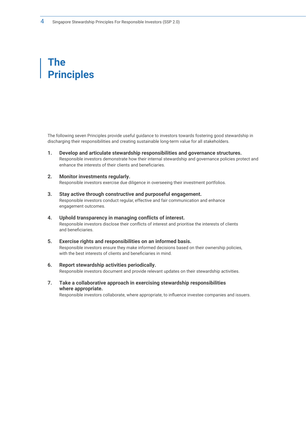### **The Principles**

The following seven Principles provide useful guidance to investors towards fostering good stewardship in discharging their responsibilities and creating sustainable long-term value for all stakeholders.

- **1. Develop and articulate stewardship responsibilities and governance structures.** Responsible investors demonstrate how their internal stewardship and governance policies protect and enhance the interests of their clients and beneficiaries.
- **2. Monitor investments regularly.**  Responsible investors exercise due diligence in overseeing their investment portfolios.
- **3. Stay active through constructive and purposeful engagement.** Responsible investors conduct regular, effective and fair communication and enhance engagement outcomes.
- **4. Uphold transparency in managing conflicts of interest.**  Responsible investors disclose their conflicts of interest and prioritise the interests of clients and beneficiaries.
- **5. Exercise rights and responsibilities on an informed basis.** Responsible investors ensure they make informed decisions based on their ownership policies, with the best interests of clients and beneficiaries in mind.
- **6. Report stewardship activities periodically.**  Responsible investors document and provide relevant updates on their stewardship activities.
- **7. Take a collaborative approach in exercising stewardship responsibilities where appropriate.**

Responsible investors collaborate, where appropriate, to influence investee companies and issuers.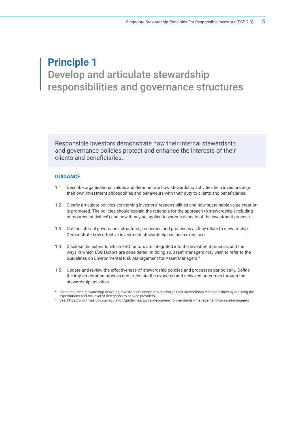### **Principle 1** Develop and articulate stewardship responsibilities and governance structures

Responsible investors demonstrate how their internal stewardship and governance policies protect and enhance the interests of their clients and beneficiaries.

- 1.1 Describe organisational values and demonstrate how stewardship activities help investors align their own investment philosophies and behaviours with their duty to clients and beneficiaries.
- 1.2 Clearly articulate policies concerning investors' responsibilities and how sustainable value creation is promoted. The policies should explain the rationale for the approach to stewardship (including outsourced activities2 ) and how it may be applied to various aspects of the investment process.
- 1.3 Outline internal governance structures, resources and processes as they relate to stewardship. Demonstrate how effective investment stewardship has been exercised.
- 1.4 Disclose the extent to which ESG factors are integrated into the investment process, and the ways in which ESG factors are considered. In doing so, asset managers may wish to refer to the Guidelines on Environmental Risk Management for Asset Managers.3
- 1.5 Update and review the effectiveness of stewardship policies and processes periodically. Define the implementation process and articulate the expected and achieved outcomes through the stewardship activities.
- <sup>2</sup> For outsourced stewardship activities, investors are advised to discharge their stewardship responsibilities by outlining the expectations and the level of delegation to service providers.
- <sup>3</sup> See: https://www.mas.gov.sg/regulation/guidelines/guidelines-on-environmental-risk-management-for-asset-managers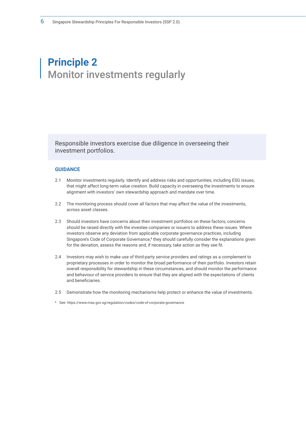### **Principle 2** Monitor investments regularly

Responsible investors exercise due diligence in overseeing their investment portfolios.

#### **GUIDANCE**

- 2.1 Monitor investments regularly. Identify and address risks and opportunities, including ESG issues, that might affect long-term value creation. Build capacity in overseeing the investments to ensure alignment with investors' own stewardship approach and mandate over time.
- 2.2 The monitoring process should cover all factors that may affect the value of the investments, across asset classes.
- 2.3 Should investors have concerns about their investment portfolios on these factors, concerns should be raised directly with the investee companies or issuers to address these issues. Where investors observe any deviation from applicable corporate governance practices, including Singapore's Code of Corporate Governance,<sup>4</sup> they should carefully consider the explanations given for the deviation, assess the reasons and, if necessary, take action as they see fit.
- 2.4 Investors may wish to make use of third-party service providers and ratings as a complement to proprietary processes in order to monitor the broad performance of their portfolio. Investors retain overall responsibility for stewardship in these circumstances, and should monitor the performance and behaviour of service providers to ensure that they are aligned with the expectations of clients and beneficiaries.
- 2.5 Demonstrate how the monitoring mechanisms help protect or enhance the value of investments.

<sup>4</sup> See: https://www.mas.gov.sg/regulation/codes/code-of-corporate-governance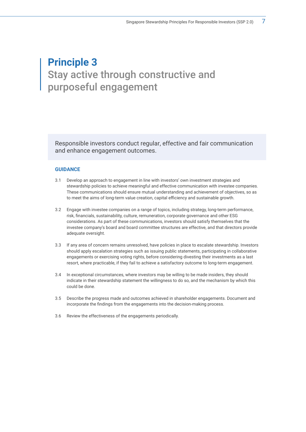### **Principle 3** Stay active through constructive and purposeful engagement

Responsible investors conduct regular, effective and fair communication and enhance engagement outcomes.

- 3.1 Develop an approach to engagement in line with investors' own investment strategies and stewardship policies to achieve meaningful and effective communication with investee companies. These communications should ensure mutual understanding and achievement of objectives, so as to meet the aims of long-term value creation, capital efficiency and sustainable growth.
- 3.2 Engage with investee companies on a range of topics, including strategy, long-term performance, risk, financials, sustainability, culture, remuneration, corporate governance and other ESG considerations. As part of these communications, investors should satisfy themselves that the investee company's board and board committee structures are effective, and that directors provide adequate oversight.
- 3.3 If any area of concern remains unresolved, have policies in place to escalate stewardship. Investors should apply escalation strategies such as issuing public statements, participating in collaborative engagements or exercising voting rights, before considering divesting their investments as a last resort, where practicable, if they fail to achieve a satisfactory outcome to long-term engagement.
- 3.4 In exceptional circumstances, where investors may be willing to be made insiders, they should indicate in their stewardship statement the willingness to do so, and the mechanism by which this could be done.
- 3.5 Describe the progress made and outcomes achieved in shareholder engagements. Document and incorporate the findings from the engagements into the decision-making process.
- 3.6 Review the effectiveness of the engagements periodically.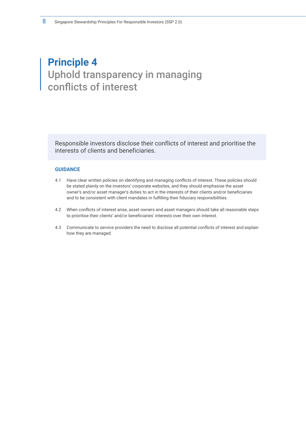### **Principle 4** Uphold transparency in managing conflicts of interest

Responsible investors disclose their conflicts of interest and prioritise the interests of clients and beneficiaries.

- 4.1 Have clear written policies on identifying and managing conflicts of interest. These policies should be stated plainly on the investors' corporate websites, and they should emphasise the asset owner's and/or asset manager's duties to act in the interests of their clients and/or beneficiaries and to be consistent with client mandates in fulfilling their fiduciary responsibilities.
- 4.2 When conflicts of interest arise, asset owners and asset managers should take all reasonable steps to prioritise their clients' and/or beneficiaries' interests over their own interest.
- 4.3 Communicate to service providers the need to disclose all potential conflicts of interest and explain how they are managed.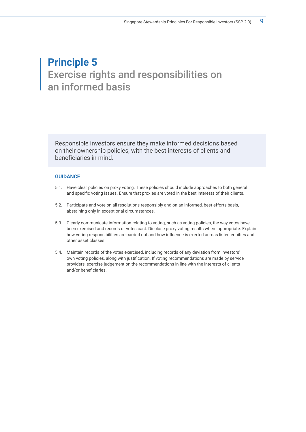### **Principle 5** Exercise rights and responsibilities on an informed basis

Responsible investors ensure they make informed decisions based on their ownership policies, with the best interests of clients and beneficiaries in mind.

- 5.1. Have clear policies on proxy voting. These policies should include approaches to both general and specific voting issues. Ensure that proxies are voted in the best interests of their clients.
- 5.2. Participate and vote on all resolutions responsibly and on an informed, best-efforts basis, abstaining only in exceptional circumstances.
- 5.3. Clearly communicate information relating to voting, such as voting policies, the way votes have been exercised and records of votes cast. Disclose proxy voting results where appropriate. Explain how voting responsibilities are carried out and how influence is exerted across listed equities and other asset classes.
- 5.4. Maintain records of the votes exercised, including records of any deviation from investors' own voting policies, along with justification. If voting recommendations are made by service providers, exercise judgement on the recommendations in line with the interests of clients and/or beneficiaries.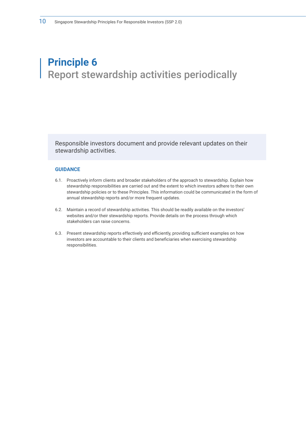### **Principle 6** Report stewardship activities periodically

Responsible investors document and provide relevant updates on their stewardship activities.

- 6.1. Proactively inform clients and broader stakeholders of the approach to stewardship. Explain how stewardship responsibilities are carried out and the extent to which investors adhere to their own stewardship policies or to these Principles. This information could be communicated in the form of annual stewardship reports and/or more frequent updates.
- 6.2. Maintain a record of stewardship activities. This should be readily available on the investors' websites and/or their stewardship reports. Provide details on the process through which stakeholders can raise concerns.
- 6.3. Present stewardship reports effectively and efficiently, providing sufficient examples on how investors are accountable to their clients and beneficiaries when exercising stewardship responsibilities.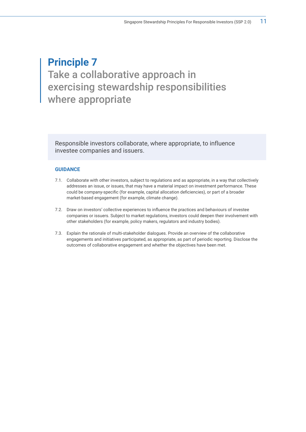### **Principle 7** Take a collaborative approach in exercising stewardship responsibilities where appropriate

Responsible investors collaborate, where appropriate, to influence investee companies and issuers.

- 7.1. Collaborate with other investors, subject to regulations and as appropriate, in a way that collectively addresses an issue, or issues, that may have a material impact on investment performance. These could be company-specific (for example, capital allocation deficiencies), or part of a broader market-based engagement (for example, climate change).
- 7.2. Draw on investors' collective experiences to influence the practices and behaviours of investee companies or issuers. Subject to market regulations, investors could deepen their involvement with other stakeholders (for example, policy makers, regulators and industry bodies).
- 7.3. Explain the rationale of multi-stakeholder dialogues. Provide an overview of the collaborative engagements and initiatives participated, as appropriate, as part of periodic reporting. Disclose the outcomes of collaborative engagement and whether the objectives have been met.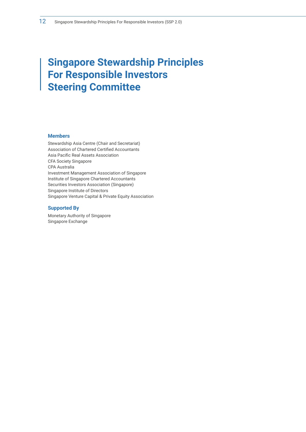### **Singapore Stewardship Principles For Responsible Investors Steering Committee**

#### **Members**

Stewardship Asia Centre (Chair and Secretariat) Association of Chartered Certified Accountants Asia Pacific Real Assets Association CFA Society Singapore CPA Australia Investment Management Association of Singapore Institute of Singapore Chartered Accountants Securities Investors Association (Singapore) Singapore Institute of Directors Singapore Venture Capital & Private Equity Association

#### **Supported By**

Monetary Authority of Singapore Singapore Exchange